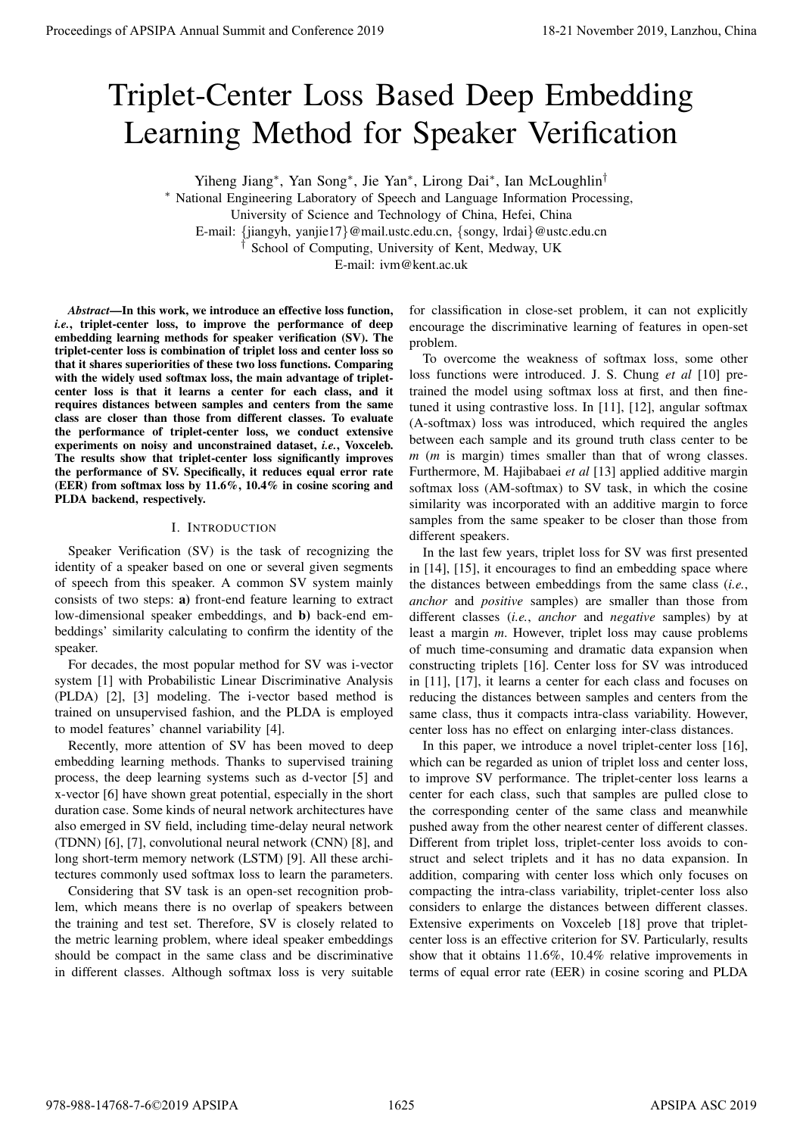# Triplet-Center Loss Based Deep Embedding Learning Method for Speaker Verification

Yiheng Jiang<sup>∗</sup> , Yan Song<sup>∗</sup> , Jie Yan<sup>∗</sup> , Lirong Dai<sup>∗</sup> , Ian McLoughlin†

<sup>∗</sup> National Engineering Laboratory of Speech and Language Information Processing,

E-mail: {jiangyh, yanjie17}@mail.ustc.edu.cn, {songy, lrdai}@ustc.edu.cn

† School of Computing, University of Kent, Medway, UK

E-mail: ivm@kent.ac.uk

*Abstract*—In this work, we introduce an effective loss function, *i.e.*, triplet-center loss, to improve the performance of deep embedding learning methods for speaker verification (SV). The triplet-center loss is combination of triplet loss and center loss so that it shares superiorities of these two loss functions. Comparing with the widely used softmax loss, the main advantage of tripletcenter loss is that it learns a center for each class, and it requires distances between samples and centers from the same class are closer than those from different classes. To evaluate the performance of triplet-center loss, we conduct extensive experiments on noisy and unconstrained dataset, *i.e.*, Voxceleb. The results show that triplet-center loss significantly improves the performance of SV. Specifically, it reduces equal error rate (EER) from softmax loss by 11.6%, 10.4% in cosine scoring and PLDA backend, respectively.

# I. INTRODUCTION

Speaker Verification (SV) is the task of recognizing the identity of a speaker based on one or several given segments of speech from this speaker. A common SV system mainly consists of two steps: a) front-end feature learning to extract low-dimensional speaker embeddings, and b) back-end embeddings' similarity calculating to confirm the identity of the speaker.

For decades, the most popular method for SV was i-vector system [1] with Probabilistic Linear Discriminative Analysis (PLDA) [2], [3] modeling. The i-vector based method is trained on unsupervised fashion, and the PLDA is employed to model features' channel variability [4].

Recently, more attention of SV has been moved to deep embedding learning methods. Thanks to supervised training process, the deep learning systems such as d-vector [5] and x-vector [6] have shown great potential, especially in the short duration case. Some kinds of neural network architectures have also emerged in SV field, including time-delay neural network (TDNN) [6], [7], convolutional neural network (CNN) [8], and long short-term memory network (LSTM) [9]. All these architectures commonly used softmax loss to learn the parameters.

Considering that SV task is an open-set recognition problem, which means there is no overlap of speakers between the training and test set. Therefore, SV is closely related to the metric learning problem, where ideal speaker embeddings should be compact in the same class and be discriminative in different classes. Although softmax loss is very suitable

for classification in close-set problem, it can not explicitly encourage the discriminative learning of features in open-set problem.

To overcome the weakness of softmax loss, some other loss functions were introduced. J. S. Chung *et al* [10] pretrained the model using softmax loss at first, and then finetuned it using contrastive loss. In [11], [12], angular softmax (A-softmax) loss was introduced, which required the angles between each sample and its ground truth class center to be *m* (*m* is margin) times smaller than that of wrong classes. Furthermore, M. Hajibabaei *et al* [13] applied additive margin softmax loss (AM-softmax) to SV task, in which the cosine similarity was incorporated with an additive margin to force samples from the same speaker to be closer than those from different speakers.

In the last few years, triplet loss for SV was first presented in [14], [15], it encourages to find an embedding space where the distances between embeddings from the same class (*i.e.*, *anchor* and *positive* samples) are smaller than those from different classes (*i.e.*, *anchor* and *negative* samples) by at least a margin *m*. However, triplet loss may cause problems of much time-consuming and dramatic data expansion when constructing triplets [16]. Center loss for SV was introduced in [11], [17], it learns a center for each class and focuses on reducing the distances between samples and centers from the same class, thus it compacts intra-class variability. However, center loss has no effect on enlarging inter-class distances.

In this paper, we introduce a novel triplet-center loss [16], which can be regarded as union of triplet loss and center loss, to improve SV performance. The triplet-center loss learns a center for each class, such that samples are pulled close to the corresponding center of the same class and meanwhile pushed away from the other nearest center of different classes. Different from triplet loss, triplet-center loss avoids to construct and select triplets and it has no data expansion. In addition, comparing with center loss which only focuses on compacting the intra-class variability, triplet-center loss also considers to enlarge the distances between different classes. Extensive experiments on Voxceleb [18] prove that tripletcenter loss is an effective criterion for SV. Particularly, results show that it obtains 11.6%, 10.4% relative improvements in terms of equal error rate (EER) in cosine scoring and PLDA **Proceedings of APSIPA Annual Summit at China 978-988-1488 Conference 2019 Conference 2019 Conference 2019 Conference 2019 Conference 2019 Conference 2019 Conference 2019 Conference 2019 Conference 2019** 

University of Science and Technology of China, Hefei, China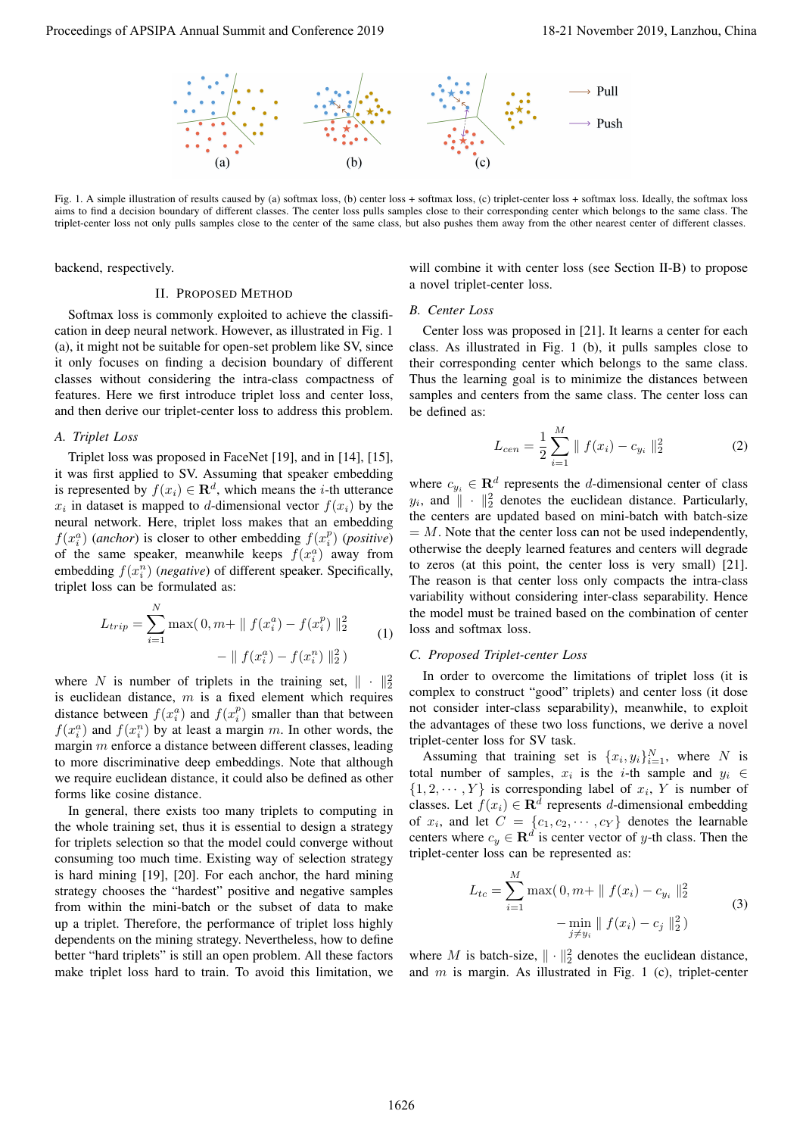

Fig. 1. A simple illustration of results caused by (a) softmax loss, (b) center loss + softmax loss, (c) triplet-center loss + softmax loss. Ideally, the softmax loss aims to find a decision boundary of different classes. The center loss pulls samples close to their corresponding center which belongs to the same class. The triplet-center loss not only pulls samples close to the center of the same class, but also pushes them away from the other nearest center of different classes.

backend, respectively.

#### II. PROPOSED METHOD

Softmax loss is commonly exploited to achieve the classification in deep neural network. However, as illustrated in Fig. 1 (a), it might not be suitable for open-set problem like SV, since it only focuses on finding a decision boundary of different classes without considering the intra-class compactness of features. Here we first introduce triplet loss and center loss, and then derive our triplet-center loss to address this problem.

# *A. Triplet Loss*

Triplet loss was proposed in FaceNet [19], and in [14], [15], it was first applied to SV. Assuming that speaker embedding is represented by  $f(x_i) \in \mathbf{R}^d$ , which means the *i*-th utterance  $x_i$  in dataset is mapped to d-dimensional vector  $f(x_i)$  by the neural network. Here, triplet loss makes that an embedding  $f(x_i^a)$  (*anchor*) is closer to other embedding  $f(x_i^p)$  (*positive*) of the same speaker, meanwhile keeps  $f(x_i^a)$  away from embedding  $f(x_i^n)$  (*negative*) of different speaker. Specifically, triplet loss can be formulated as:

$$
L_{trip} = \sum_{i=1}^{N} \max(0, m + || f(x_i^a) - f(x_i^p) ||_2^2 - || f(x_i^a) - f(x_i^n) ||_2^2)
$$
\n(1)

where N is number of triplets in the training set,  $\|\cdot\|^2_2$ is euclidean distance,  $m$  is a fixed element which requires distance between  $f(x_i^a)$  and  $f(x_i^p)$  smaller than that between  $f(x_i^a)$  and  $f(x_i^n)$  by at least a margin m. In other words, the margin m enforce a distance between different classes, leading to more discriminative deep embeddings. Note that although we require euclidean distance, it could also be defined as other forms like cosine distance.

In general, there exists too many triplets to computing in the whole training set, thus it is essential to design a strategy for triplets selection so that the model could converge without consuming too much time. Existing way of selection strategy is hard mining [19], [20]. For each anchor, the hard mining strategy chooses the "hardest" positive and negative samples from within the mini-batch or the subset of data to make up a triplet. Therefore, the performance of triplet loss highly dependents on the mining strategy. Nevertheless, how to define better "hard triplets" is still an open problem. All these factors make triplet loss hard to train. To avoid this limitation, we Proceedings of APSIPA Annual Summit and Conference 2019<br>
Proceedings of APSIPA Annual Summit and Conference 2019<br>
Proceedings of APSIPA Annual Summit and Conference 2019<br>
Proceeding the conference 2019, Langlace 2019<br>
Pro

will combine it with center loss (see Section II-B) to propose a novel triplet-center loss.

#### *B. Center Loss*

Center loss was proposed in [21]. It learns a center for each class. As illustrated in Fig. 1 (b), it pulls samples close to their corresponding center which belongs to the same class. Thus the learning goal is to minimize the distances between samples and centers from the same class. The center loss can be defined as:

$$
L_{cen} = \frac{1}{2} \sum_{i=1}^{M} \| f(x_i) - c_{y_i} \|_2^2
$$
 (2)

where  $c_{y_i} \in \mathbf{R}^d$  represents the *d*-dimensional center of class  $y_i$ , and  $\|\cdot\|^2_2$  denotes the euclidean distance. Particularly, the centers are updated based on mini-batch with batch-size  $=$  M. Note that the center loss can not be used independently, otherwise the deeply learned features and centers will degrade to zeros (at this point, the center loss is very small) [21]. The reason is that center loss only compacts the intra-class variability without considering inter-class separability. Hence the model must be trained based on the combination of center loss and softmax loss.

## *C. Proposed Triplet-center Loss*

In order to overcome the limitations of triplet loss (it is complex to construct "good" triplets) and center loss (it dose not consider inter-class separability), meanwhile, to exploit the advantages of these two loss functions, we derive a novel triplet-center loss for SV task.

Assuming that training set is  $\{x_i, y_i\}_{i=1}^N$ , where N is total number of samples,  $x_i$  is the *i*-th sample and  $y_i \in$  $\{1, 2, \dots, Y\}$  is corresponding label of  $x_i$ , Y is number of classes. Let  $f(x_i) \in \mathbb{R}^d$  represents d-dimensional embedding of  $x_i$ , and let  $C = \{c_1, c_2, \dots, c_Y\}$  denotes the learnable centers where  $c_y \in \mathbf{R}^d$  is center vector of y-th class. Then the triplet-center loss can be represented as:

$$
L_{tc} = \sum_{i=1}^{M} \max(0, m+ \| f(x_i) - c_{y_i} \|_2^2 - \min_{j \neq y_i} \| f(x_i) - c_j \|_2^2)
$$
 (3)

where M is batch-size,  $\|\cdot\|_2^2$  denotes the euclidean distance, and  $m$  is margin. As illustrated in Fig. 1 (c), triplet-center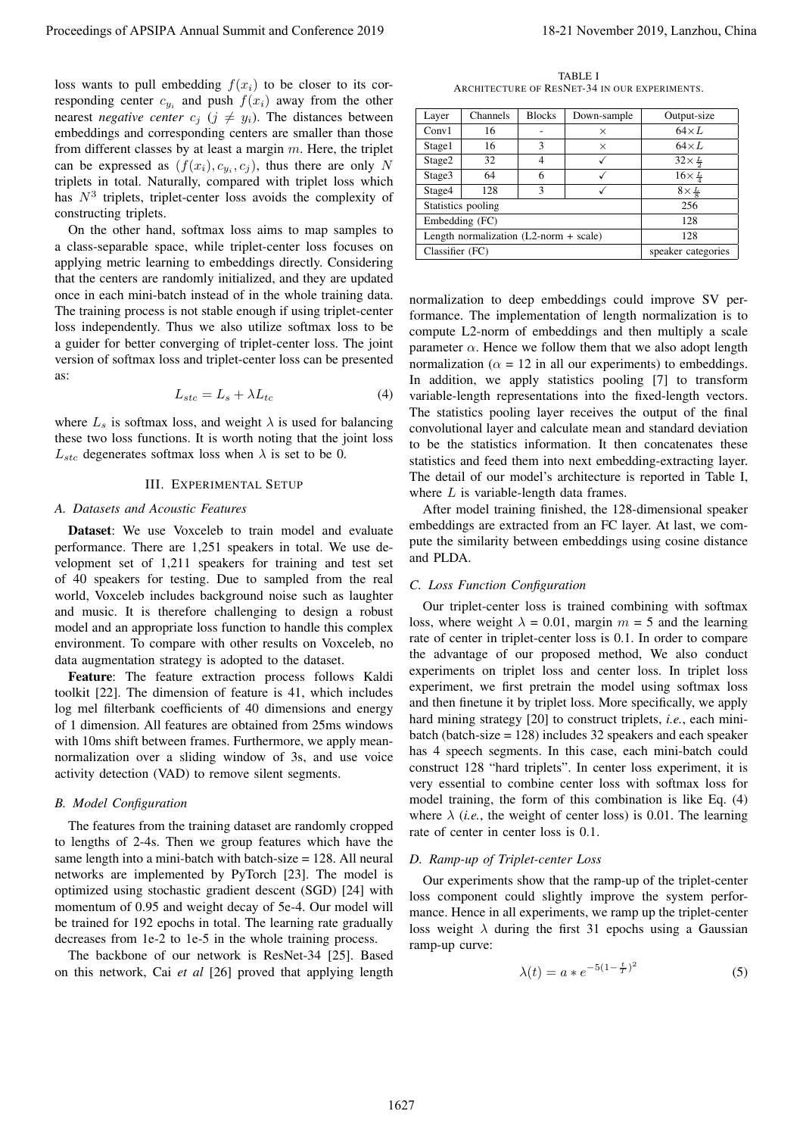loss wants to pull embedding  $f(x_i)$  to be closer to its corresponding center  $c_{y_i}$  and push  $f(x_i)$  away from the other nearest *negative center*  $c_j$  ( $j \neq y_i$ ). The distances between embeddings and corresponding centers are smaller than those from different classes by at least a margin  $m$ . Here, the triplet can be expressed as  $(f(x_i), c_{y_i}, c_j)$ , thus there are only N triplets in total. Naturally, compared with triplet loss which has  $N<sup>3</sup>$  triplets, triplet-center loss avoids the complexity of constructing triplets.

On the other hand, softmax loss aims to map samples to a class-separable space, while triplet-center loss focuses on applying metric learning to embeddings directly. Considering that the centers are randomly initialized, and they are updated once in each mini-batch instead of in the whole training data. The training process is not stable enough if using triplet-center loss independently. Thus we also utilize softmax loss to be a guider for better converging of triplet-center loss. The joint version of softmax loss and triplet-center loss can be presented as:

$$
L_{stc} = L_s + \lambda L_{tc} \tag{4}
$$

where  $L_s$  is softmax loss, and weight  $\lambda$  is used for balancing these two loss functions. It is worth noting that the joint loss  $L_{stc}$  degenerates softmax loss when  $\lambda$  is set to be 0.

## III. EXPERIMENTAL SETUP

# *A. Datasets and Acoustic Features*

Dataset: We use Voxceleb to train model and evaluate performance. There are 1,251 speakers in total. We use development set of 1,211 speakers for training and test set of 40 speakers for testing. Due to sampled from the real world, Voxceleb includes background noise such as laughter and music. It is therefore challenging to design a robust model and an appropriate loss function to handle this complex environment. To compare with other results on Voxceleb, no data augmentation strategy is adopted to the dataset.

Feature: The feature extraction process follows Kaldi toolkit [22]. The dimension of feature is 41, which includes log mel filterbank coefficients of 40 dimensions and energy of 1 dimension. All features are obtained from 25ms windows with 10ms shift between frames. Furthermore, we apply meannormalization over a sliding window of 3s, and use voice activity detection (VAD) to remove silent segments.

# *B. Model Configuration*

The features from the training dataset are randomly cropped to lengths of 2-4s. Then we group features which have the same length into a mini-batch with batch-size = 128. All neural networks are implemented by PyTorch [23]. The model is optimized using stochastic gradient descent (SGD) [24] with momentum of 0.95 and weight decay of 5e-4. Our model will be trained for 192 epochs in total. The learning rate gradually decreases from 1e-2 to 1e-5 in the whole training process.

The backbone of our network is ResNet-34 [25]. Based on this network, Cai *et al* [26] proved that applying length

TABLE I ARCHITECTURE OF RESNET-34 IN OUR EXPERIMENTS.

| Layer           | Channels                                 | <b>Blocks</b>      | Down-sample | Output-size           |
|-----------------|------------------------------------------|--------------------|-------------|-----------------------|
| Conv1           | 16                                       |                    | $\times$    | $64 \times L$         |
| Stage1          | 16                                       | 3                  | $\times$    | $64 \times L$         |
| Stage2          | 32                                       |                    |             | $32\times\frac{L}{2}$ |
| Stage3          | 64                                       | 6                  |             | $16\times\frac{L}{4}$ |
| Stage4          | 128                                      | 3                  |             | $8\times\frac{L}{9}$  |
|                 | Statistics pooling                       | 256                |             |                       |
| Embedding (FC)  |                                          | 128                |             |                       |
|                 | Length normalization $(L2-norm + scale)$ | 128                |             |                       |
| Classifier (FC) |                                          | speaker categories |             |                       |

normalization to deep embeddings could improve SV performance. The implementation of length normalization is to compute L2-norm of embeddings and then multiply a scale parameter  $\alpha$ . Hence we follow them that we also adopt length normalization ( $\alpha = 12$  in all our experiments) to embeddings. In addition, we apply statistics pooling [7] to transform variable-length representations into the fixed-length vectors. The statistics pooling layer receives the output of the final convolutional layer and calculate mean and standard deviation to be the statistics information. It then concatenates these statistics and feed them into next embedding-extracting layer. The detail of our model's architecture is reported in Table I, where  $L$  is variable-length data frames.

After model training finished, the 128-dimensional speaker embeddings are extracted from an FC layer. At last, we compute the similarity between embeddings using cosine distance and PLDA.

## *C. Loss Function Configuration*

Our triplet-center loss is trained combining with softmax loss, where weight  $\lambda = 0.01$ , margin  $m = 5$  and the learning rate of center in triplet-center loss is 0.1. In order to compare the advantage of our proposed method, We also conduct experiments on triplet loss and center loss. In triplet loss experiment, we first pretrain the model using softmax loss and then finetune it by triplet loss. More specifically, we apply hard mining strategy [20] to construct triplets, *i.e.*, each minibatch (batch-size = 128) includes 32 speakers and each speaker has 4 speech segments. In this case, each mini-batch could construct 128 "hard triplets". In center loss experiment, it is very essential to combine center loss with softmax loss for model training, the form of this combination is like Eq. (4) where  $\lambda$  (*i.e.*, the weight of center loss) is 0.01. The learning rate of center in center loss is 0.1. Proceedings of APSIPA Annual Summit at China 2018 and Conference 2019 18-21 November 2019, Lanzhou, China 2018<br>
Revenue in the state of the state of the state of the state of the state of the state of the state of the sta

# *D. Ramp-up of Triplet-center Loss*

Our experiments show that the ramp-up of the triplet-center loss component could slightly improve the system performance. Hence in all experiments, we ramp up the triplet-center loss weight  $\lambda$  during the first 31 epochs using a Gaussian ramp-up curve:

$$
\lambda(t) = a * e^{-5(1 - \frac{t}{T})^2}
$$
 (5)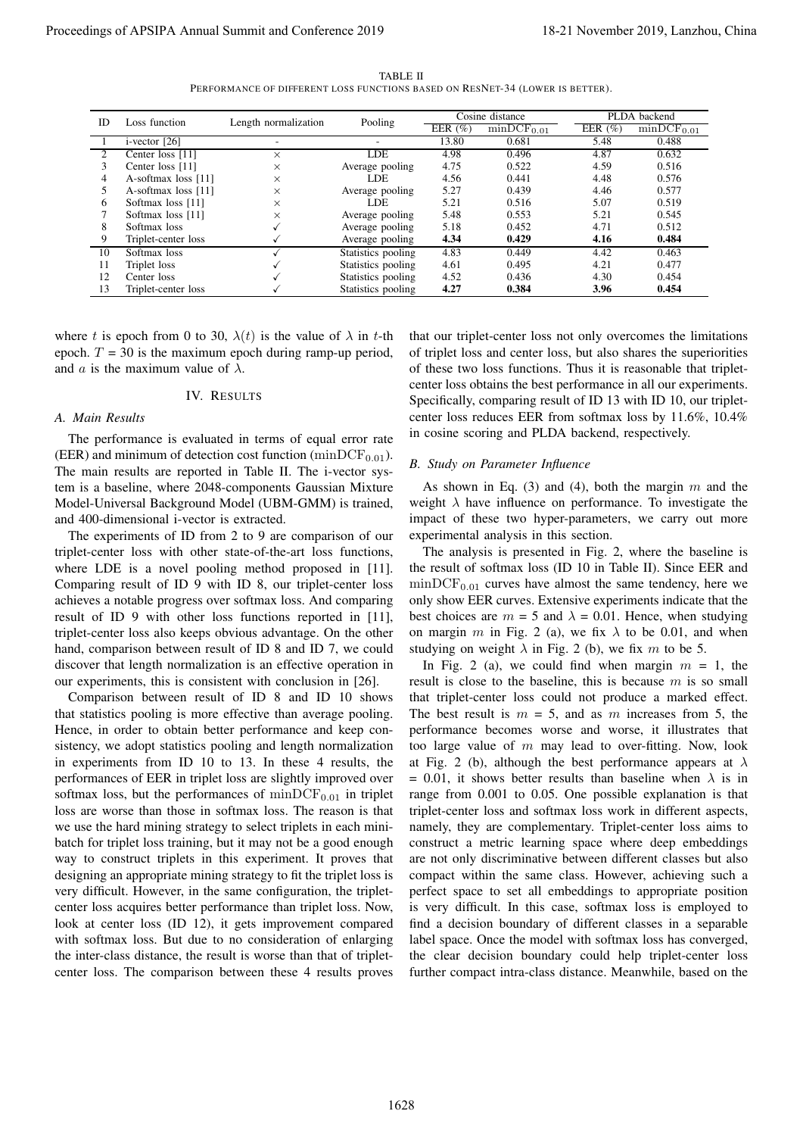TABLE II PERFORMANCE OF DIFFERENT LOSS FUNCTIONS BASED ON RESNET-34 (LOWER IS BETTER).

| ID              | Loss function                              | Length normalization                                                                                                                                                                                                                                                                                                                                                                                                                                                                                                                                                                                                                                                                                                                                                                                                                                                                                                                                                                                                                                                                                                                                                                                                                                                                                                                                                                                                                                                                                                                                                                                                                                                                                                                                                                                                                                                                                                                                                                                                                                                                                                                                                                                                                                                                                                       | Pooling                                  | Cosine distance<br>EER $(\% )$<br>$minDCF_{0.01}$ |                                                                                                                                                                                                                                                                                                                                                                                                                                                                                                                                                                                                                                                                                                                                                                                                                                                                                                                                                                                                                                                                                                                                                                                                                                                                                                                                                                                                                                                                                                                                                                                                                                                                                                                                                                                                                                                                                                                                                                                                                                                                                                                                                                                                                                                                                                                                                                                                                                                                                         | EER $(\%)$   | PLDA backend<br>$minDCF_{0.01}$ |  |
|-----------------|--------------------------------------------|----------------------------------------------------------------------------------------------------------------------------------------------------------------------------------------------------------------------------------------------------------------------------------------------------------------------------------------------------------------------------------------------------------------------------------------------------------------------------------------------------------------------------------------------------------------------------------------------------------------------------------------------------------------------------------------------------------------------------------------------------------------------------------------------------------------------------------------------------------------------------------------------------------------------------------------------------------------------------------------------------------------------------------------------------------------------------------------------------------------------------------------------------------------------------------------------------------------------------------------------------------------------------------------------------------------------------------------------------------------------------------------------------------------------------------------------------------------------------------------------------------------------------------------------------------------------------------------------------------------------------------------------------------------------------------------------------------------------------------------------------------------------------------------------------------------------------------------------------------------------------------------------------------------------------------------------------------------------------------------------------------------------------------------------------------------------------------------------------------------------------------------------------------------------------------------------------------------------------------------------------------------------------------------------------------------------------|------------------------------------------|---------------------------------------------------|-----------------------------------------------------------------------------------------------------------------------------------------------------------------------------------------------------------------------------------------------------------------------------------------------------------------------------------------------------------------------------------------------------------------------------------------------------------------------------------------------------------------------------------------------------------------------------------------------------------------------------------------------------------------------------------------------------------------------------------------------------------------------------------------------------------------------------------------------------------------------------------------------------------------------------------------------------------------------------------------------------------------------------------------------------------------------------------------------------------------------------------------------------------------------------------------------------------------------------------------------------------------------------------------------------------------------------------------------------------------------------------------------------------------------------------------------------------------------------------------------------------------------------------------------------------------------------------------------------------------------------------------------------------------------------------------------------------------------------------------------------------------------------------------------------------------------------------------------------------------------------------------------------------------------------------------------------------------------------------------------------------------------------------------------------------------------------------------------------------------------------------------------------------------------------------------------------------------------------------------------------------------------------------------------------------------------------------------------------------------------------------------------------------------------------------------------------------------------------------------|--------------|---------------------------------|--|
| 1               | $i$ -vector [26]                           | ÷,                                                                                                                                                                                                                                                                                                                                                                                                                                                                                                                                                                                                                                                                                                                                                                                                                                                                                                                                                                                                                                                                                                                                                                                                                                                                                                                                                                                                                                                                                                                                                                                                                                                                                                                                                                                                                                                                                                                                                                                                                                                                                                                                                                                                                                                                                                                         |                                          | 13.80                                             | 0.681                                                                                                                                                                                                                                                                                                                                                                                                                                                                                                                                                                                                                                                                                                                                                                                                                                                                                                                                                                                                                                                                                                                                                                                                                                                                                                                                                                                                                                                                                                                                                                                                                                                                                                                                                                                                                                                                                                                                                                                                                                                                                                                                                                                                                                                                                                                                                                                                                                                                                   | 5.48         | 0.488                           |  |
| $\overline{c}$  | Center loss [11]<br>$\times$               |                                                                                                                                                                                                                                                                                                                                                                                                                                                                                                                                                                                                                                                                                                                                                                                                                                                                                                                                                                                                                                                                                                                                                                                                                                                                                                                                                                                                                                                                                                                                                                                                                                                                                                                                                                                                                                                                                                                                                                                                                                                                                                                                                                                                                                                                                                                            | LDE                                      | 4.98                                              | 0.496                                                                                                                                                                                                                                                                                                                                                                                                                                                                                                                                                                                                                                                                                                                                                                                                                                                                                                                                                                                                                                                                                                                                                                                                                                                                                                                                                                                                                                                                                                                                                                                                                                                                                                                                                                                                                                                                                                                                                                                                                                                                                                                                                                                                                                                                                                                                                                                                                                                                                   | 4.87         | 0.632                           |  |
| 3<br>4          | Center loss [11]                           | ×                                                                                                                                                                                                                                                                                                                                                                                                                                                                                                                                                                                                                                                                                                                                                                                                                                                                                                                                                                                                                                                                                                                                                                                                                                                                                                                                                                                                                                                                                                                                                                                                                                                                                                                                                                                                                                                                                                                                                                                                                                                                                                                                                                                                                                                                                                                          | Average pooling<br>LDE                   | 4.75<br>4.56                                      | 0.522<br>0.441                                                                                                                                                                                                                                                                                                                                                                                                                                                                                                                                                                                                                                                                                                                                                                                                                                                                                                                                                                                                                                                                                                                                                                                                                                                                                                                                                                                                                                                                                                                                                                                                                                                                                                                                                                                                                                                                                                                                                                                                                                                                                                                                                                                                                                                                                                                                                                                                                                                                          | 4.59         | 0.516<br>0.576                  |  |
| 5               | A-softmax loss [11]<br>A-softmax loss [11] | $\times$<br>$\times$                                                                                                                                                                                                                                                                                                                                                                                                                                                                                                                                                                                                                                                                                                                                                                                                                                                                                                                                                                                                                                                                                                                                                                                                                                                                                                                                                                                                                                                                                                                                                                                                                                                                                                                                                                                                                                                                                                                                                                                                                                                                                                                                                                                                                                                                                                       | Average pooling                          | 5.27                                              | 0.439                                                                                                                                                                                                                                                                                                                                                                                                                                                                                                                                                                                                                                                                                                                                                                                                                                                                                                                                                                                                                                                                                                                                                                                                                                                                                                                                                                                                                                                                                                                                                                                                                                                                                                                                                                                                                                                                                                                                                                                                                                                                                                                                                                                                                                                                                                                                                                                                                                                                                   | 4.48<br>4.46 | 0.577                           |  |
| 6               | Softmax loss [11]                          | $\times$                                                                                                                                                                                                                                                                                                                                                                                                                                                                                                                                                                                                                                                                                                                                                                                                                                                                                                                                                                                                                                                                                                                                                                                                                                                                                                                                                                                                                                                                                                                                                                                                                                                                                                                                                                                                                                                                                                                                                                                                                                                                                                                                                                                                                                                                                                                   | LDE                                      | 5.21                                              | 0.516                                                                                                                                                                                                                                                                                                                                                                                                                                                                                                                                                                                                                                                                                                                                                                                                                                                                                                                                                                                                                                                                                                                                                                                                                                                                                                                                                                                                                                                                                                                                                                                                                                                                                                                                                                                                                                                                                                                                                                                                                                                                                                                                                                                                                                                                                                                                                                                                                                                                                   | 5.07         | 0.519                           |  |
| 7<br>8          | Softmax loss [11]<br>Softmax loss          | $\times$<br>✓                                                                                                                                                                                                                                                                                                                                                                                                                                                                                                                                                                                                                                                                                                                                                                                                                                                                                                                                                                                                                                                                                                                                                                                                                                                                                                                                                                                                                                                                                                                                                                                                                                                                                                                                                                                                                                                                                                                                                                                                                                                                                                                                                                                                                                                                                                              | Average pooling<br>Average pooling       | 5.48<br>5.18                                      | 0.553<br>0.452                                                                                                                                                                                                                                                                                                                                                                                                                                                                                                                                                                                                                                                                                                                                                                                                                                                                                                                                                                                                                                                                                                                                                                                                                                                                                                                                                                                                                                                                                                                                                                                                                                                                                                                                                                                                                                                                                                                                                                                                                                                                                                                                                                                                                                                                                                                                                                                                                                                                          | 5.21<br>4.71 | 0.545<br>0.512                  |  |
| 9               | Triplet-center loss                        | ✓                                                                                                                                                                                                                                                                                                                                                                                                                                                                                                                                                                                                                                                                                                                                                                                                                                                                                                                                                                                                                                                                                                                                                                                                                                                                                                                                                                                                                                                                                                                                                                                                                                                                                                                                                                                                                                                                                                                                                                                                                                                                                                                                                                                                                                                                                                                          | Average pooling                          | 4.34                                              | 0.429                                                                                                                                                                                                                                                                                                                                                                                                                                                                                                                                                                                                                                                                                                                                                                                                                                                                                                                                                                                                                                                                                                                                                                                                                                                                                                                                                                                                                                                                                                                                                                                                                                                                                                                                                                                                                                                                                                                                                                                                                                                                                                                                                                                                                                                                                                                                                                                                                                                                                   | 4.16         | 0.484                           |  |
| 10              | Softmax loss                               | $\sqrt{}$                                                                                                                                                                                                                                                                                                                                                                                                                                                                                                                                                                                                                                                                                                                                                                                                                                                                                                                                                                                                                                                                                                                                                                                                                                                                                                                                                                                                                                                                                                                                                                                                                                                                                                                                                                                                                                                                                                                                                                                                                                                                                                                                                                                                                                                                                                                  | Statistics pooling                       | 4.83                                              | 0.449                                                                                                                                                                                                                                                                                                                                                                                                                                                                                                                                                                                                                                                                                                                                                                                                                                                                                                                                                                                                                                                                                                                                                                                                                                                                                                                                                                                                                                                                                                                                                                                                                                                                                                                                                                                                                                                                                                                                                                                                                                                                                                                                                                                                                                                                                                                                                                                                                                                                                   | 4.42         | 0.463                           |  |
| 11<br>12        | Triplet loss<br>Center loss                | ✓<br>✓                                                                                                                                                                                                                                                                                                                                                                                                                                                                                                                                                                                                                                                                                                                                                                                                                                                                                                                                                                                                                                                                                                                                                                                                                                                                                                                                                                                                                                                                                                                                                                                                                                                                                                                                                                                                                                                                                                                                                                                                                                                                                                                                                                                                                                                                                                                     | Statistics pooling<br>Statistics pooling | 4.61<br>4.52                                      | 0.495<br>0.436                                                                                                                                                                                                                                                                                                                                                                                                                                                                                                                                                                                                                                                                                                                                                                                                                                                                                                                                                                                                                                                                                                                                                                                                                                                                                                                                                                                                                                                                                                                                                                                                                                                                                                                                                                                                                                                                                                                                                                                                                                                                                                                                                                                                                                                                                                                                                                                                                                                                          | 4.21<br>4.30 | 0.477<br>0.454                  |  |
| 13              | Triplet-center loss                        | ✓                                                                                                                                                                                                                                                                                                                                                                                                                                                                                                                                                                                                                                                                                                                                                                                                                                                                                                                                                                                                                                                                                                                                                                                                                                                                                                                                                                                                                                                                                                                                                                                                                                                                                                                                                                                                                                                                                                                                                                                                                                                                                                                                                                                                                                                                                                                          | Statistics pooling                       | 4.27                                              | 0.384                                                                                                                                                                                                                                                                                                                                                                                                                                                                                                                                                                                                                                                                                                                                                                                                                                                                                                                                                                                                                                                                                                                                                                                                                                                                                                                                                                                                                                                                                                                                                                                                                                                                                                                                                                                                                                                                                                                                                                                                                                                                                                                                                                                                                                                                                                                                                                                                                                                                                   | 3.96         | 0.454                           |  |
| A. Main Results | and a is the maximum value of $\lambda$ .  | epoch. $T = 30$ is the maximum epoch during ramp-up period,<br>IV. RESULTS<br>The performance is evaluated in terms of equal error rate<br>(EER) and minimum of detection cost function ( $minDCF_{0.01}$ ).<br>The main results are reported in Table II. The i-vector sys-<br>tem is a baseline, where 2048-components Gaussian Mixture<br>Model-Universal Background Model (UBM-GMM) is trained,<br>and 400-dimensional i-vector is extracted.<br>The experiments of ID from 2 to 9 are comparison of our<br>triplet-center loss with other state-of-the-art loss functions,<br>where LDE is a novel pooling method proposed in [11].<br>Comparing result of ID 9 with ID 8, our triplet-center loss<br>achieves a notable progress over softmax loss. And comparing<br>result of ID 9 with other loss functions reported in [11],<br>triplet-center loss also keeps obvious advantage. On the other<br>hand, comparison between result of ID 8 and ID 7, we could<br>discover that length normalization is an effective operation in<br>our experiments, this is consistent with conclusion in [26].<br>Comparison between result of ID 8 and ID 10 shows<br>that statistics pooling is more effective than average pooling.<br>Hence, in order to obtain better performance and keep con-<br>sistency, we adopt statistics pooling and length normalization<br>in experiments from ID 10 to 13. In these 4 results, the<br>performances of EER in triplet loss are slightly improved over<br>softmax loss, but the performances of $minDCF_{0.01}$ in triplet<br>loss are worse than those in softmax loss. The reason is that<br>we use the hard mining strategy to select triplets in each mini-<br>batch for triplet loss training, but it may not be a good enough<br>way to construct triplets in this experiment. It proves that<br>designing an appropriate mining strategy to fit the triplet loss is<br>very difficult. However, in the same configuration, the triplet-<br>center loss acquires better performance than triplet loss. Now,<br>look at center loss (ID 12), it gets improvement compared<br>with softmax loss. But due to no consideration of enlarging<br>the inter-class distance, the result is worse than that of triplet-<br>center loss. The comparison between these 4 results proves |                                          |                                                   | of triplet loss and center loss, but also shares the superiorities<br>of these two loss functions. Thus it is reasonable that triplet-<br>center loss obtains the best performance in all our experiments.<br>Specifically, comparing result of ID 13 with ID 10, our triplet-<br>center loss reduces EER from softmax loss by 11.6%, 10.4%<br>in cosine scoring and PLDA backend, respectively.<br>B. Study on Parameter Influence<br>As shown in Eq. (3) and (4), both the margin $m$ and the<br>weight $\lambda$ have influence on performance. To investigate the<br>impact of these two hyper-parameters, we carry out more<br>experimental analysis in this section.<br>The analysis is presented in Fig. 2, where the baseline is<br>the result of softmax loss (ID 10 in Table II). Since EER and<br>$\text{minDCF}_{0.01}$ curves have almost the same tendency, here we<br>only show EER curves. Extensive experiments indicate that the<br>best choices are $m = 5$ and $\lambda = 0.01$ . Hence, when studying<br>on margin m in Fig. 2 (a), we fix $\lambda$ to be 0.01, and when<br>studying on weight $\lambda$ in Fig. 2 (b), we fix m to be 5.<br>In Fig. 2 (a), we could find when margin $m = 1$ , the<br>result is close to the baseline, this is because $m$ is so small<br>that triplet-center loss could not produce a marked effect.<br>The best result is $m = 5$ , and as m increases from 5, the<br>performance becomes worse and worse, it illustrates that<br>too large value of $m$ may lead to over-fitting. Now, look<br>at Fig. 2 (b), although the best performance appears at $\lambda$<br>= 0.01, it shows better results than baseline when $\lambda$ is in<br>range from 0.001 to 0.05. One possible explanation is that<br>triplet-center loss and softmax loss work in different aspects,<br>namely, they are complementary. Triplet-center loss aims to<br>construct a metric learning space where deep embeddings<br>are not only discriminative between different classes but also<br>compact within the same class. However, achieving such a<br>perfect space to set all embeddings to appropriate position<br>is very difficult. In this case, softmax loss is employed to<br>find a decision boundary of different classes in a separable<br>label space. Once the model with softmax loss has converged,<br>the clear decision boundary could help triplet-center loss<br>further compact intra-class distance. Meanwhile, based on the |              |                                 |  |

## IV. RESULTS

#### *A. Main Results*

## *B. Study on Parameter Influence*